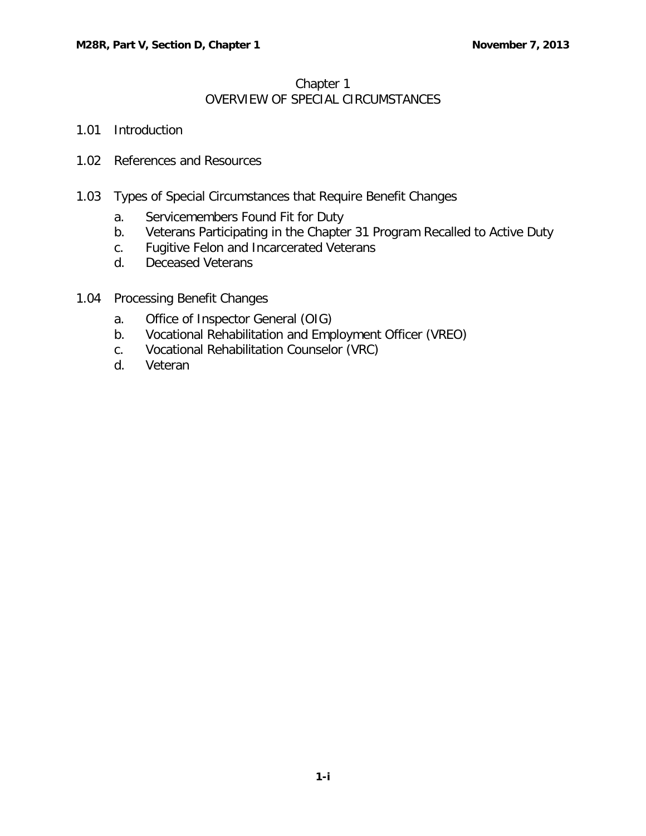## Chapter 1 OVERVIEW OF SPECIAL CIRCUMSTANCES

- 1.01 [Introduction](#page-1-0)
- 1.02 [References and Resources](#page-1-1)
- 1.03 [Types of Special Circumstances that Require Benefit Changes](#page-1-2)
	- a. [Servicemembers Found Fit for Duty](#page-1-3)
	- b. [Veterans Participating in the Chapter 31 Program Recalled to Active Duty](#page-1-4)
	- c. [Fugitive Felon and Incarcerated Veterans](#page-2-0)
	- d. [Deceased Veterans](#page-2-1)
- 1.04 [Processing Benefit Changes](#page-2-2)
	- a. [Office of Inspector General \(OIG\)](#page-2-3)
	- b. [Vocational Rehabilitation and Employment Officer \(VREO\)](#page-2-4)
	- c. [Vocational Rehabilitation Counselor \(VRC\)](#page-2-5)
	- d. [Veteran](#page-3-0)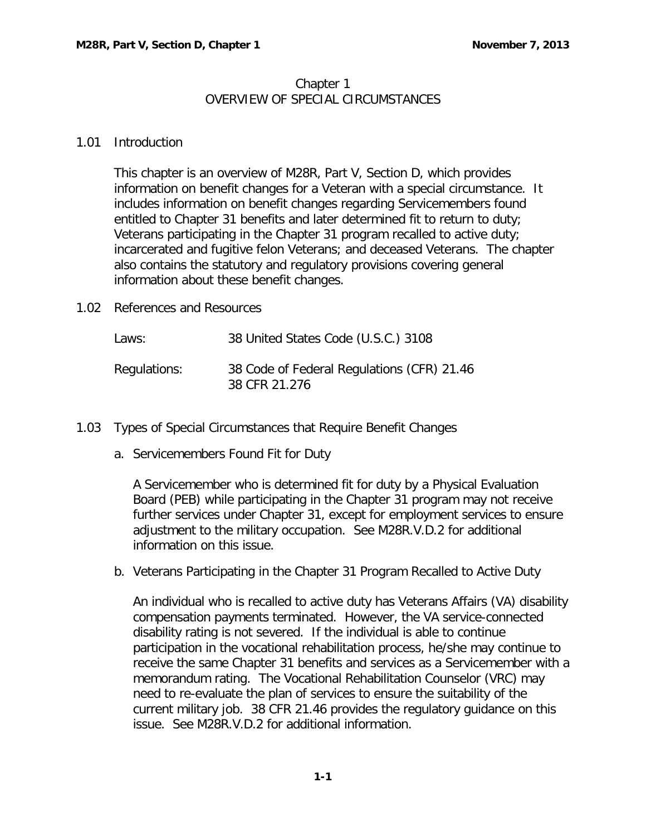## Chapter 1 OVERVIEW OF SPECIAL CIRCUMSTANCES

## <span id="page-1-0"></span>1.01 Introduction

This chapter is an overview of M28R, Part V, Section D, which provides information on benefit changes for a Veteran with a special circumstance. It includes information on benefit changes regarding Servicemembers found entitled to Chapter 31 benefits and later determined fit to return to duty; Veterans participating in the Chapter 31 program recalled to active duty; incarcerated and fugitive felon Veterans; and deceased Veterans. The chapter also contains the statutory and regulatory provisions covering general information about these benefit changes.

<span id="page-1-1"></span>1.02 References and Resources

| Laws:        | 38 United States Code (U.S.C.) 3108                         |
|--------------|-------------------------------------------------------------|
| Regulations: | 38 Code of Federal Regulations (CFR) 21.46<br>38 CFR 21.276 |

- <span id="page-1-3"></span><span id="page-1-2"></span>1.03 Types of Special Circumstances that Require Benefit Changes
	- a. Servicemembers Found Fit for Duty

A Servicemember who is determined fit for duty by a Physical Evaluation Board (PEB) while participating in the Chapter 31 program may not receive further services under Chapter 31, except for employment services to ensure adjustment to the military occupation. See M28R.V.D.2 for additional information on this issue.

<span id="page-1-4"></span>b. Veterans Participating in the Chapter 31 Program Recalled to Active Duty

An individual who is recalled to active duty has Veterans Affairs (VA) disability compensation payments terminated. However, the VA service-connected disability rating is not severed. If the individual is able to continue participation in the vocational rehabilitation process, he/she may continue to receive the same Chapter 31 benefits and services as a Servicemember with a memorandum rating. The Vocational Rehabilitation Counselor (VRC) may need to re-evaluate the plan of services to ensure the suitability of the current military job. 38 CFR 21.46 provides the regulatory guidance on this issue. See M28R.V.D.2 for additional information.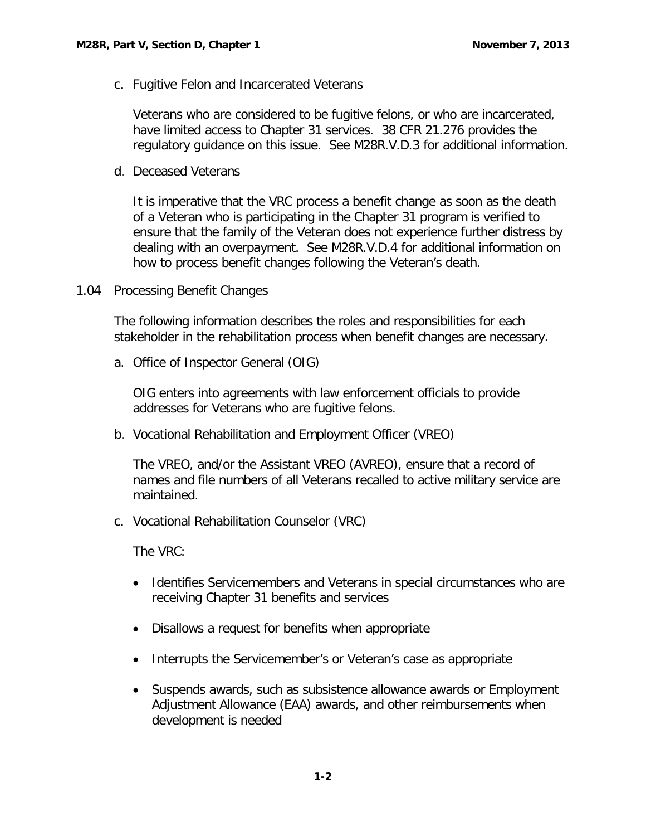<span id="page-2-0"></span>c. Fugitive Felon and Incarcerated Veterans

Veterans who are considered to be fugitive felons, or who are incarcerated, have limited access to Chapter 31 services. 38 CFR 21.276 provides the regulatory guidance on this issue. See M28R.V.D.3 for additional information.

<span id="page-2-1"></span>d. Deceased Veterans

It is imperative that the VRC process a benefit change as soon as the death of a Veteran who is participating in the Chapter 31 program is verified to ensure that the family of the Veteran does not experience further distress by dealing with an overpayment. See M28R.V.D.4 for additional information on how to process benefit changes following the Veteran's death.

<span id="page-2-2"></span>1.04 Processing Benefit Changes

The following information describes the roles and responsibilities for each stakeholder in the rehabilitation process when benefit changes are necessary.

<span id="page-2-3"></span>a. Office of Inspector General (OIG)

OIG enters into agreements with law enforcement officials to provide addresses for Veterans who are fugitive felons.

<span id="page-2-4"></span>b. Vocational Rehabilitation and Employment Officer (VREO)

The VREO, and/or the Assistant VREO (AVREO), ensure that a record of names and file numbers of all Veterans recalled to active military service are maintained.

<span id="page-2-5"></span>c. Vocational Rehabilitation Counselor (VRC)

The VRC:

- Identifies Servicemembers and Veterans in special circumstances who are receiving Chapter 31 benefits and services
- Disallows a request for benefits when appropriate
- Interrupts the Servicemember's or Veteran's case as appropriate
- Suspends awards, such as subsistence allowance awards or Employment Adjustment Allowance (EAA) awards, and other reimbursements when development is needed